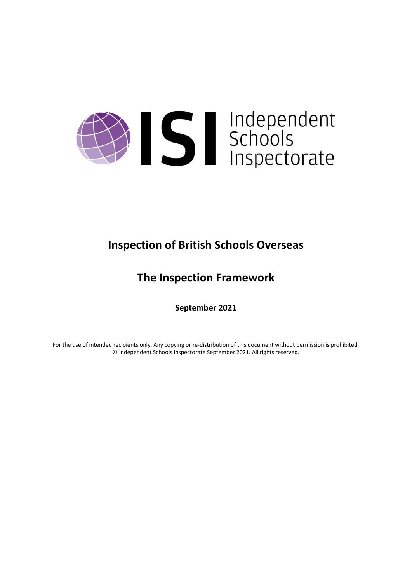

# **Inspection of British Schools Overseas**

# **The Inspection Framework**

**September 2021**

For the use of intended recipients only. Any copying or re-distribution of this document without permission is prohibited. © Independent Schools Inspectorate September 2021. All rights reserved.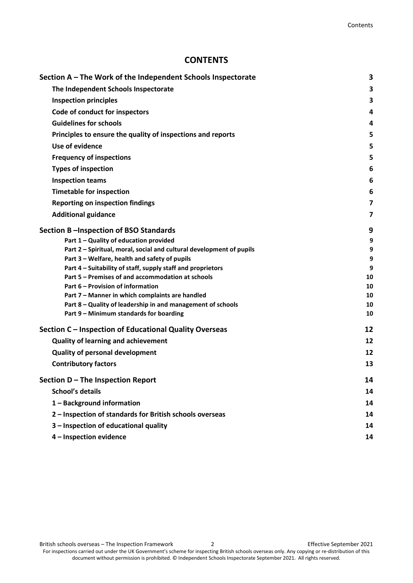## **CONTENTS**

| Section A – The Work of the Independent Schools Inspectorate         | 3  |
|----------------------------------------------------------------------|----|
| The Independent Schools Inspectorate                                 | 3  |
| <b>Inspection principles</b>                                         | 3  |
| Code of conduct for inspectors                                       | 4  |
| <b>Guidelines for schools</b>                                        | 4  |
| Principles to ensure the quality of inspections and reports          | 5  |
| Use of evidence                                                      | 5  |
| <b>Frequency of inspections</b>                                      | 5  |
| <b>Types of inspection</b>                                           | 6  |
| <b>Inspection teams</b>                                              | 6  |
| <b>Timetable for inspection</b>                                      | 6  |
|                                                                      |    |
| <b>Reporting on inspection findings</b>                              | 7  |
| <b>Additional guidance</b>                                           | 7  |
| Section B-Inspection of BSO Standards                                | 9  |
| Part 1 - Quality of education provided                               | 9  |
| Part 2 - Spiritual, moral, social and cultural development of pupils | 9  |
| Part 3 - Welfare, health and safety of pupils                        | 9  |
| Part 4 - Suitability of staff, supply staff and proprietors          | 9  |
| Part 5 - Premises of and accommodation at schools                    | 10 |
| Part 6 - Provision of information                                    | 10 |
| Part 7 - Manner in which complaints are handled                      | 10 |
| Part 8 - Quality of leadership in and management of schools          | 10 |
| Part 9 - Minimum standards for boarding                              | 10 |
| Section C – Inspection of Educational Quality Overseas               | 12 |
| <b>Quality of learning and achievement</b>                           | 12 |
| <b>Quality of personal development</b>                               | 12 |
| <b>Contributory factors</b>                                          | 13 |
| Section D - The Inspection Report                                    | 14 |
| <b>School's details</b>                                              | 14 |
| 1 - Background information                                           | 14 |
| 2 - Inspection of standards for British schools overseas             | 14 |
| 3 - Inspection of educational quality                                | 14 |
| 4 - Inspection evidence                                              | 14 |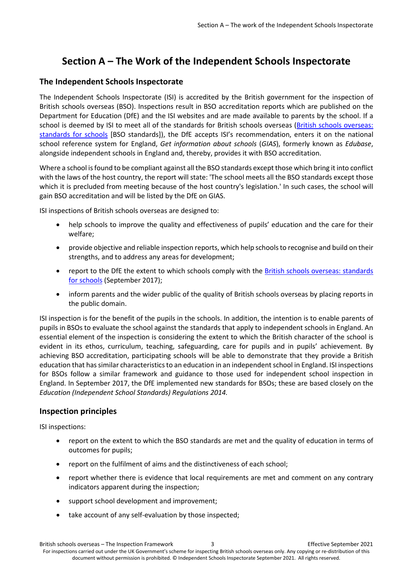## <span id="page-2-0"></span>**Section A – The Work of the Independent Schools Inspectorate**

#### <span id="page-2-1"></span>**The Independent Schools Inspectorate**

The Independent Schools Inspectorate (ISI) is accredited by the British government for the inspection of British schools overseas (BSO). Inspections result in BSO accreditation reports which are published on the Department for Education (DfE) and the ISI websites and are made available to parents by the school. If a school is deemed by ISI to meet all of the standards for British schools overseas [\(British schools overseas:](https://www.gov.uk/government/publications/british-schools-overseas-standards-for-schools)  [standards for schools](https://www.gov.uk/government/publications/british-schools-overseas-standards-for-schools) [BSO standards]), the DfE accepts ISI's recommendation, enters it on the national school reference system for England, *Get information about schools* (*GIAS*), formerly known as *Edubase*, alongside independent schools in England and, thereby, provides it with BSO accreditation.

Where a school is found to be compliant against all the BSO standards except those which bring it into conflict with the laws of the host country, the report will state: 'The school meets all the BSO standards except those which it is precluded from meeting because of the host country's legislation.' In such cases, the school will gain BSO accreditation and will be listed by the DfE on GIAS.

ISI inspections of British schools overseas are designed to:

- help schools to improve the quality and effectiveness of pupils' education and the care for their welfare;
- provide objective and reliable inspection reports, which help schoolsto recognise and build on their strengths, and to address any areas for development;
- report to the DfE the extent to which schools comply with the [British schools overseas: standards](https://www.gov.uk/government/publications/british-schools-overseas-standards-for-schools)  [for schools](https://www.gov.uk/government/publications/british-schools-overseas-standards-for-schools) (September 2017);
- inform parents and the wider public of the quality of British schools overseas by placing reports in the public domain.

ISI inspection is for the benefit of the pupils in the schools. In addition, the intention is to enable parents of pupils in BSOs to evaluate the school against the standards that apply to independent schools in England. An essential element of the inspection is considering the extent to which the British character of the school is evident in its ethos, curriculum, teaching, safeguarding, care for pupils and in pupils' achievement. By achieving BSO accreditation, participating schools will be able to demonstrate that they provide a British education that has similar characteristics to an education in an independent school in England. ISI inspections for BSOs follow a similar framework and guidance to those used for independent school inspection in England. In September 2017, the DfE implemented new standards for BSOs; these are based closely on the *Education (Independent School Standards) Regulations 2014.*

#### <span id="page-2-2"></span>**Inspection principles**

ISI inspections:

- report on the extent to which the BSO standards are met and the quality of education in terms of outcomes for pupils;
- report on the fulfilment of aims and the distinctiveness of each school;
- report whether there is evidence that local requirements are met and comment on any contrary indicators apparent during the inspection;
- support school development and improvement;
- take account of any self-evaluation by those inspected;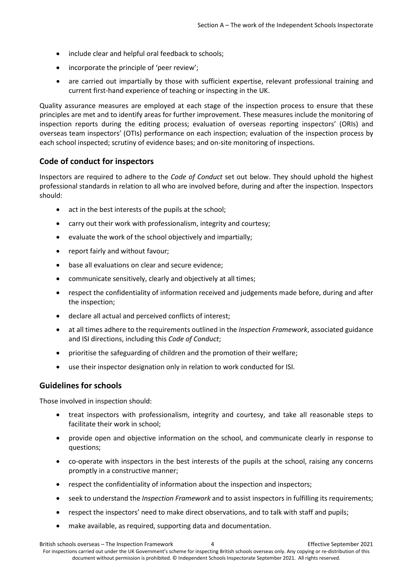- include clear and helpful oral feedback to schools;
- incorporate the principle of 'peer review';
- are carried out impartially by those with sufficient expertise, relevant professional training and current first-hand experience of teaching or inspecting in the UK.

Quality assurance measures are employed at each stage of the inspection process to ensure that these principles are met and to identify areas for further improvement. These measures include the monitoring of inspection reports during the editing process; evaluation of overseas reporting inspectors' (ORIs) and overseas team inspectors' (OTIs) performance on each inspection; evaluation of the inspection process by each school inspected; scrutiny of evidence bases; and on-site monitoring of inspections.

#### <span id="page-3-0"></span>**Code of conduct for inspectors**

Inspectors are required to adhere to the *Code of Conduct* set out below. They should uphold the highest professional standards in relation to all who are involved before, during and after the inspection. Inspectors should:

- act in the best interests of the pupils at the school;
- carry out their work with professionalism, integrity and courtesy;
- evaluate the work of the school objectively and impartially;
- report fairly and without favour;
- base all evaluations on clear and secure evidence;
- communicate sensitively, clearly and objectively at all times;
- respect the confidentiality of information received and judgements made before, during and after the inspection;
- declare all actual and perceived conflicts of interest;
- at all times adhere to the requirements outlined in the *Inspection Framework*, associated guidance and ISI directions, including this *Code of Conduct*;
- prioritise the safeguarding of children and the promotion of their welfare;
- use their inspector designation only in relation to work conducted for ISI.

#### <span id="page-3-1"></span>**Guidelines for schools**

Those involved in inspection should:

- treat inspectors with professionalism, integrity and courtesy, and take all reasonable steps to facilitate their work in school;
- provide open and objective information on the school, and communicate clearly in response to questions;
- co-operate with inspectors in the best interests of the pupils at the school, raising any concerns promptly in a constructive manner;
- respect the confidentiality of information about the inspection and inspectors;
- seek to understand the *Inspection Framework* and to assist inspectors in fulfilling its requirements;
- respect the inspectors' need to make direct observations, and to talk with staff and pupils;
- make available, as required, supporting data and documentation.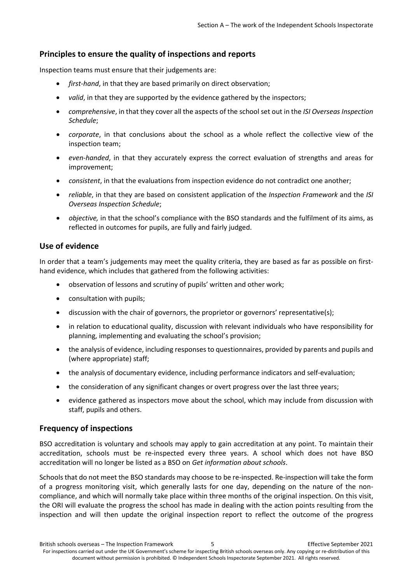#### <span id="page-4-0"></span>**Principles to ensure the quality of inspections and reports**

Inspection teams must ensure that their judgements are:

- *first-hand*, in that they are based primarily on direct observation;
- *valid*, in that they are supported by the evidence gathered by the inspectors;
- *comprehensive*, in that they cover all the aspects of the school set out in the *ISI Overseas Inspection Schedule*;
- *corporate*, in that conclusions about the school as a whole reflect the collective view of the inspection team;
- *even-handed*, in that they accurately express the correct evaluation of strengths and areas for improvement;
- *consistent*, in that the evaluations from inspection evidence do not contradict one another;
- *reliable*, in that they are based on consistent application of the *Inspection Framework* and the *ISI Overseas Inspection Schedule*;
- *objective,* in that the school's compliance with the BSO standards and the fulfilment of its aims, as reflected in outcomes for pupils, are fully and fairly judged.

#### <span id="page-4-1"></span>**Use of evidence**

In order that a team's judgements may meet the quality criteria, they are based as far as possible on firsthand evidence, which includes that gathered from the following activities:

- observation of lessons and scrutiny of pupils' written and other work;
- consultation with pupils;
- discussion with the chair of governors, the proprietor or governors' representative(s);
- in relation to educational quality, discussion with relevant individuals who have responsibility for planning, implementing and evaluating the school's provision;
- the analysis of evidence, including responses to questionnaires, provided by parents and pupils and (where appropriate) staff;
- the analysis of documentary evidence, including performance indicators and self-evaluation;
- the consideration of any significant changes or overt progress over the last three years;
- evidence gathered as inspectors move about the school, which may include from discussion with staff, pupils and others.

#### <span id="page-4-2"></span>**Frequency of inspections**

BSO accreditation is voluntary and schools may apply to gain accreditation at any point. To maintain their accreditation, schools must be re-inspected every three years. A school which does not have BSO accreditation will no longer be listed as a BSO on *Get information about schools*.

Schools that do not meet the BSO standards may choose to be re-inspected. Re-inspection will take the form of a progress monitoring visit, which generally lasts for one day, depending on the nature of the noncompliance, and which will normally take place within three months of the original inspection. On this visit, the ORI will evaluate the progress the school has made in dealing with the action points resulting from the inspection and will then update the original inspection report to reflect the outcome of the progress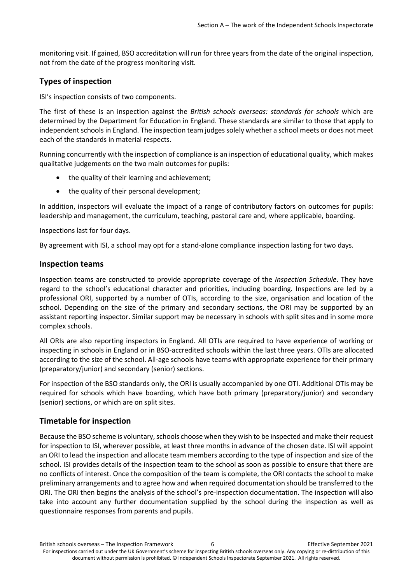monitoring visit. If gained, BSO accreditation will run for three years from the date of the original inspection, not from the date of the progress monitoring visit.

## <span id="page-5-0"></span>**Types of inspection**

ISI's inspection consists of two components.

The first of these is an inspection against the *British schools overseas: standards for schools* which are determined by the Department for Education in England. These standards are similar to those that apply to independent schools in England. The inspection team judges solely whether a school meets or does not meet each of the standards in material respects.

Running concurrently with the inspection of compliance is an inspection of educational quality, which makes qualitative judgements on the two main outcomes for pupils:

- the quality of their learning and achievement:
- the quality of their personal development;

In addition, inspectors will evaluate the impact of a range of contributory factors on outcomes for pupils: leadership and management, the curriculum, teaching, pastoral care and, where applicable, boarding.

Inspections last for four days.

<span id="page-5-1"></span>By agreement with ISI, a school may opt for a stand-alone compliance inspection lasting for two days.

#### **Inspection teams**

Inspection teams are constructed to provide appropriate coverage of the *Inspection Schedule*. They have regard to the school's educational character and priorities, including boarding. Inspections are led by a professional ORI, supported by a number of OTIs, according to the size, organisation and location of the school. Depending on the size of the primary and secondary sections, the ORI may be supported by an assistant reporting inspector. Similar support may be necessary in schools with split sites and in some more complex schools.

All ORIs are also reporting inspectors in England. All OTIs are required to have experience of working or inspecting in schools in England or in BSO-accredited schools within the last three years. OTIs are allocated according to the size of the school. All-age schools have teams with appropriate experience for their primary (preparatory/junior) and secondary (senior) sections.

For inspection of the BSO standards only, the ORI is usually accompanied by one OTI. Additional OTIs may be required for schools which have boarding, which have both primary (preparatory/junior) and secondary (senior) sections, or which are on split sites.

#### <span id="page-5-2"></span>**Timetable for inspection**

Because the BSO scheme is voluntary, schools choose when they wish to be inspected and make their request for inspection to ISI, wherever possible, at least three months in advance of the chosen date. ISI will appoint an ORI to lead the inspection and allocate team members according to the type of inspection and size of the school. ISI provides details of the inspection team to the school as soon as possible to ensure that there are no conflicts of interest. Once the composition of the team is complete, the ORI contacts the school to make preliminary arrangements and to agree how and when required documentation should be transferred to the ORI. The ORI then begins the analysis of the school's pre-inspection documentation. The inspection will also take into account any further documentation supplied by the school during the inspection as well as questionnaire responses from parents and pupils.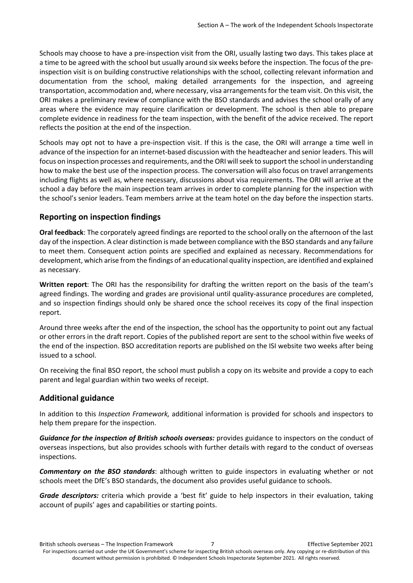Schools may choose to have a pre-inspection visit from the ORI, usually lasting two days. This takes place at a time to be agreed with the school but usually around six weeks before the inspection. The focus of the preinspection visit is on building constructive relationships with the school, collecting relevant information and documentation from the school, making detailed arrangements for the inspection, and agreeing transportation, accommodation and, where necessary, visa arrangementsfor the team visit. On this visit, the ORI makes a preliminary review of compliance with the BSO standards and advises the school orally of any areas where the evidence may require clarification or development. The school is then able to prepare complete evidence in readiness for the team inspection, with the benefit of the advice received. The report reflects the position at the end of the inspection.

Schools may opt not to have a pre-inspection visit. If this is the case, the ORI will arrange a time well in advance of the inspection for an internet-based discussion with the headteacher and senior leaders. This will focus on inspection processes and requirements, and the ORI will seek to support the school in understanding how to make the best use of the inspection process. The conversation will also focus on travel arrangements including flights as well as, where necessary, discussions about visa requirements. The ORI will arrive at the school a day before the main inspection team arrives in order to complete planning for the inspection with the school's senior leaders. Team members arrive at the team hotel on the day before the inspection starts.

#### <span id="page-6-0"></span>**Reporting on inspection findings**

**Oral feedback**: The corporately agreed findings are reported to the school orally on the afternoon of the last day of the inspection. A clear distinction is made between compliance with the BSO standards and any failure to meet them. Consequent action points are specified and explained as necessary. Recommendations for development, which arise from the findings of an educational quality inspection, are identified and explained as necessary.

**Written report**: The ORI has the responsibility for drafting the written report on the basis of the team's agreed findings. The wording and grades are provisional until quality-assurance procedures are completed, and so inspection findings should only be shared once the school receives its copy of the final inspection report.

Around three weeks after the end of the inspection, the school has the opportunity to point out any factual or other errors in the draft report. Copies of the published report are sent to the school within five weeks of the end of the inspection. BSO accreditation reports are published on the ISI website two weeks after being issued to a school.

On receiving the final BSO report, the school must publish a copy on its website and provide a copy to each parent and legal guardian within two weeks of receipt.

#### <span id="page-6-1"></span>**Additional guidance**

In addition to this *Inspection Framework,* additional information is provided for schools and inspectors to help them prepare for the inspection.

*Guidance for the inspection of British schools overseas:* provides guidance to inspectors on the conduct of overseas inspections, but also provides schools with further details with regard to the conduct of overseas inspections.

*Commentary on the BSO standards*: although written to guide inspectors in evaluating whether or not schools meet the DfE's BSO standards, the document also provides useful guidance to schools.

*Grade descriptors:* criteria which provide a 'best fit' guide to help inspectors in their evaluation, taking account of pupils' ages and capabilities or starting points.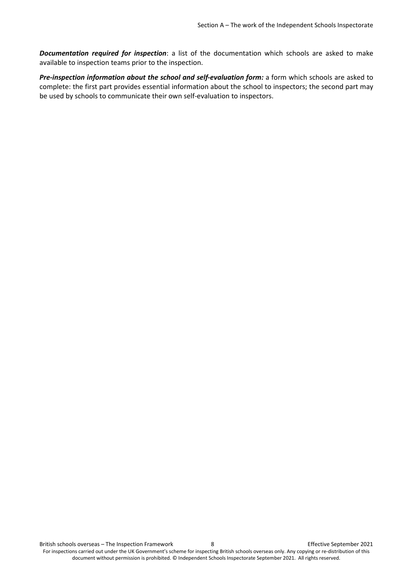*Documentation required for inspection*: a list of the documentation which schools are asked to make available to inspection teams prior to the inspection.

*Pre-inspection information about the school and self-evaluation form:* a form which schools are asked to complete: the first part provides essential information about the school to inspectors; the second part may be used by schools to communicate their own self-evaluation to inspectors.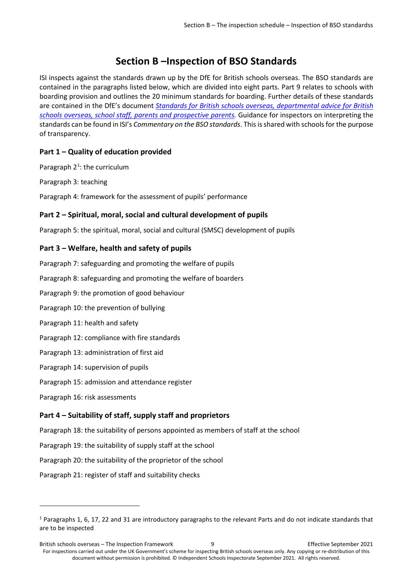# **Section B –Inspection of BSO Standards**

<span id="page-8-0"></span>ISI inspects against the standards drawn up by the DfE for British schools overseas. The BSO standards are contained in the paragraphs listed below, which are divided into eight parts. Part 9 relates to schools with boarding provision and outlines the 20 minimum standards for boarding. Further details of these standards are contained in the DfE's document *[Standards for British schools overseas, departmental advice for British](https://www.gov.uk/government/consultations/british-schools-overseas-standards-and-inspection-arrangements)  [schools overseas, school staff, parents and prospective parents.](https://www.gov.uk/government/consultations/british-schools-overseas-standards-and-inspection-arrangements)* Guidance for inspectors on interpreting the standards can be found in ISI's *Commentary on the BSO standards*. This is shared with schools for the purpose of transparency.

### <span id="page-8-1"></span>**Part 1 – Quality of education provided**

Paragraph  $2<sup>1</sup>$ : the curriculum

Paragraph 3: teaching

<span id="page-8-2"></span>Paragraph 4: framework for the assessment of pupils' performance

#### **Part 2 – Spiritual, moral, social and cultural development of pupils**

<span id="page-8-3"></span>Paragraph 5: the spiritual, moral, social and cultural (SMSC) development of pupils

#### **Part 3 – Welfare, health and safety of pupils**

Paragraph 7: safeguarding and promoting the welfare of pupils Paragraph 8: safeguarding and promoting the welfare of boarders Paragraph 9: the promotion of good behaviour Paragraph 10: the prevention of bullying Paragraph 11: health and safety Paragraph 12: compliance with fire standards Paragraph 13: administration of first aid Paragraph 14: supervision of pupils Paragraph 15: admission and attendance register Paragraph 16: risk assessments **Part 4 – Suitability of staff, supply staff and proprietors**

<span id="page-8-4"></span>Paragraph 18: the suitability of persons appointed as members of staff at the school

- Paragraph 19: the suitability of supply staff at the school
- Paragraph 20: the suitability of the proprietor of the school

Paragraph 21: register of staff and suitability checks

 $\overline{\phantom{a}}$ 

<span id="page-8-5"></span><sup>1</sup> Paragraphs 1, 6, 17, 22 and 31 are introductory paragraphs to the relevant Parts and do not indicate standards that are to be inspected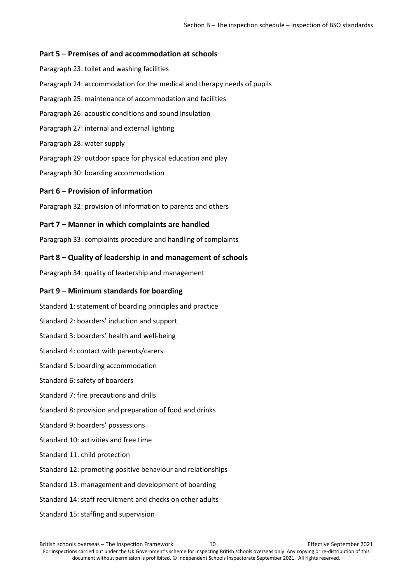#### <span id="page-9-0"></span>**Part 5 – Premises of and accommodation at schools**

Paragraph 23: toilet and washing facilities Paragraph 24: accommodation for the medical and therapy needs of pupils Paragraph 25: maintenance of accommodation and facilities Paragraph 26: acoustic conditions and sound insulation Paragraph 27: internal and external lighting Paragraph 28: water supply Paragraph 29: outdoor space for physical education and play Paragraph 30: boarding accommodation

#### <span id="page-9-1"></span>**Part 6 – Provision of information**

<span id="page-9-2"></span>Paragraph 32: provision of information to parents and others

#### **Part 7 – Manner in which complaints are handled**

<span id="page-9-3"></span>Paragraph 33: complaints procedure and handling of complaints

#### **Part 8 – Quality of leadership in and management of schools**

<span id="page-9-4"></span>Paragraph 34: quality of leadership and management

#### **Part 9 – Minimum standards for boarding**

- Standard 1: statement of boarding principles and practice
- Standard 2: boarders' induction and support
- Standard 3: boarders' health and well-being
- Standard 4: contact with parents/carers
- Standard 5: boarding accommodation
- Standard 6: safety of boarders
- Standard 7: fire precautions and drills
- Standard 8: provision and preparation of food and drinks
- Standard 9: boarders' possessions
- Standard 10: activities and free time
- Standard 11: child protection
- Standard 12: promoting positive behaviour and relationships
- Standard 13: management and development of boarding
- Standard 14: staff recruitment and checks on other adults
- Standard 15: staffing and supervision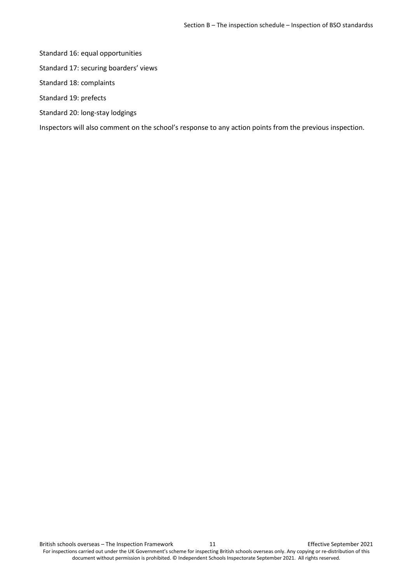Standard 16: equal opportunities

- Standard 17: securing boarders' views
- Standard 18: complaints
- Standard 19: prefects
- Standard 20: long-stay lodgings

Inspectors will also comment on the school's response to any action points from the previous inspection.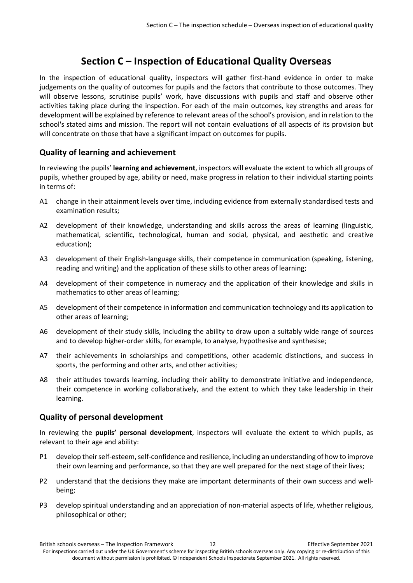## **Section C – Inspection of Educational Quality Overseas**

<span id="page-11-0"></span>In the inspection of educational quality, inspectors will gather first-hand evidence in order to make judgements on the quality of outcomes for pupils and the factors that contribute to those outcomes. They will observe lessons, scrutinise pupils' work, have discussions with pupils and staff and observe other activities taking place during the inspection. For each of the main outcomes, key strengths and areas for development will be explained by reference to relevant areas of the school's provision, and in relation to the school's stated aims and mission. The report will not contain evaluations of all aspects of its provision but will concentrate on those that have a significant impact on outcomes for pupils.

### <span id="page-11-1"></span>**Quality of learning and achievement**

In reviewing the pupils' **learning and achievement**, inspectors will evaluate the extent to which all groups of pupils, whether grouped by age, ability or need, make progress in relation to their individual starting points in terms of:

- A1 change in their attainment levels over time, including evidence from externally standardised tests and examination results;
- A2 development of their knowledge, understanding and skills across the areas of learning (linguistic, mathematical, scientific, technological, human and social, physical, and aesthetic and creative education);
- A3 development of their English-language skills, their competence in communication (speaking, listening, reading and writing) and the application of these skills to other areas of learning;
- A4 development of their competence in numeracy and the application of their knowledge and skills in mathematics to other areas of learning;
- A5 development of their competence in information and communication technology and its application to other areas of learning;
- A6 development of their study skills, including the ability to draw upon a suitably wide range of sources and to develop higher-order skills, for example, to analyse, hypothesise and synthesise;
- A7 their achievements in scholarships and competitions, other academic distinctions, and success in sports, the performing and other arts, and other activities;
- A8 their attitudes towards learning, including their ability to demonstrate initiative and independence, their competence in working collaboratively, and the extent to which they take leadership in their learning.

#### <span id="page-11-2"></span>**Quality of personal development**

In reviewing the **pupils' personal development**, inspectors will evaluate the extent to which pupils, as relevant to their age and ability:

- P1 develop their self-esteem, self-confidence and resilience, including an understanding of how to improve their own learning and performance, so that they are well prepared for the next stage of their lives;
- P2 understand that the decisions they make are important determinants of their own success and wellbeing;
- P3 develop spiritual understanding and an appreciation of non-material aspects of life, whether religious, philosophical or other;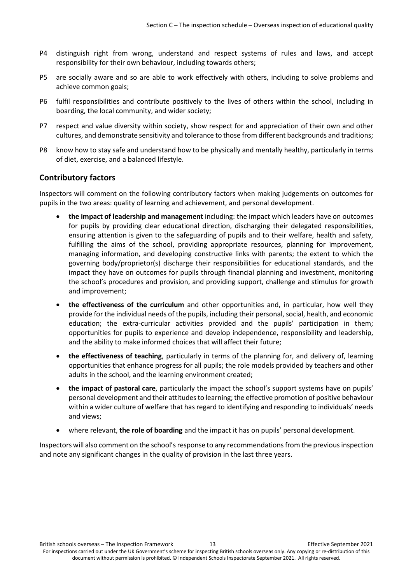- P4 distinguish right from wrong, understand and respect systems of rules and laws, and accept responsibility for their own behaviour, including towards others;
- P5 are socially aware and so are able to work effectively with others, including to solve problems and achieve common goals;
- P6 fulfil responsibilities and contribute positively to the lives of others within the school, including in boarding, the local community, and wider society;
- P7 respect and value diversity within society, show respect for and appreciation of their own and other cultures, and demonstrate sensitivity and tolerance to those from different backgrounds and traditions;
- P8 know how to stay safe and understand how to be physically and mentally healthy, particularly in terms of diet, exercise, and a balanced lifestyle.

#### <span id="page-12-0"></span>**Contributory factors**

Inspectors will comment on the following contributory factors when making judgements on outcomes for pupils in the two areas: quality of learning and achievement, and personal development.

- **the impact of leadership and management** including: the impact which leaders have on outcomes for pupils by providing clear educational direction, discharging their delegated responsibilities, ensuring attention is given to the safeguarding of pupils and to their welfare, health and safety, fulfilling the aims of the school, providing appropriate resources, planning for improvement, managing information, and developing constructive links with parents; the extent to which the governing body/proprietor(s) discharge their responsibilities for educational standards, and the impact they have on outcomes for pupils through financial planning and investment, monitoring the school's procedures and provision, and providing support, challenge and stimulus for growth and improvement;
- **the effectiveness of the curriculum** and other opportunities and, in particular, how well they provide for the individual needs of the pupils, including their personal, social, health, and economic education; the extra-curricular activities provided and the pupils' participation in them; opportunities for pupils to experience and develop independence, responsibility and leadership, and the ability to make informed choices that will affect their future;
- **the effectiveness of teaching**, particularly in terms of the planning for, and delivery of, learning opportunities that enhance progress for all pupils; the role models provided by teachers and other adults in the school, and the learning environment created;
- **the impact of pastoral care**, particularly the impact the school's support systems have on pupils' personal development and their attitudes to learning; the effective promotion of positive behaviour within a wider culture of welfare that has regard to identifying and responding to individuals' needs and views;
- where relevant, **the role of boarding** and the impact it has on pupils' personal development.

Inspectors will also comment on the school's response to any recommendations from the previous inspection and note any significant changes in the quality of provision in the last three years.